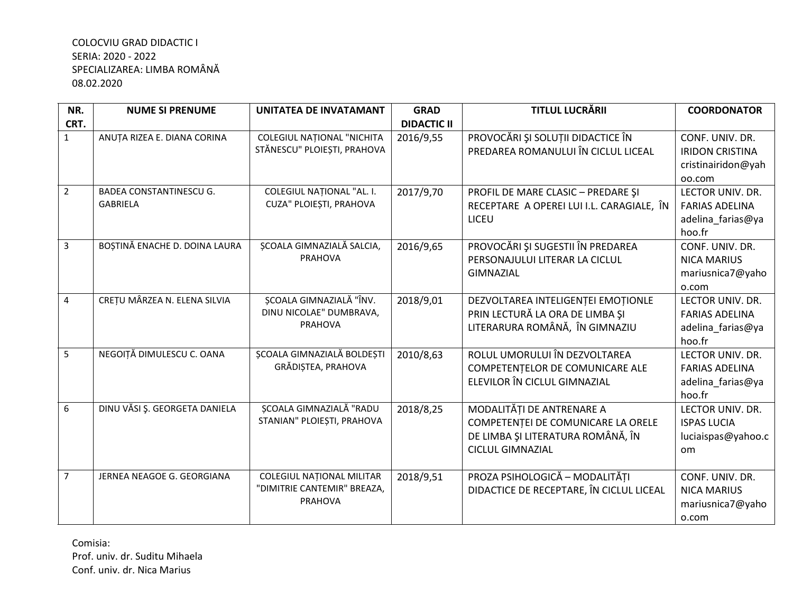| NR.            | <b>NUME SI PRENUME</b>                            | UNITATEA DE INVATAMANT                                                     | <b>GRAD</b>        | TITLUL LUCRĂRII                                                                                                                 | <b>COORDONATOR</b>                                                        |
|----------------|---------------------------------------------------|----------------------------------------------------------------------------|--------------------|---------------------------------------------------------------------------------------------------------------------------------|---------------------------------------------------------------------------|
| CRT.           |                                                   |                                                                            | <b>DIDACTIC II</b> |                                                                                                                                 |                                                                           |
| $\mathbf{1}$   | ANUȚA RIZEA E. DIANA CORINA                       | <b>COLEGIUL NAȚIONAL "NICHITA</b><br>STĂNESCU" PLOIEȘTI, PRAHOVA           | 2016/9,55          | PROVOCĂRI ȘI SOLUȚII DIDACTICE ÎN<br>PREDAREA ROMANULUI ÎN CICLUL LICEAL                                                        | CONF. UNIV. DR.<br><b>IRIDON CRISTINA</b><br>cristinairidon@yah<br>oo.com |
| $\overline{2}$ | <b>BADEA CONSTANTINESCU G.</b><br><b>GABRIELA</b> | COLEGIUL NAȚIONAL "AL. I.<br>CUZA" PLOIEȘTI, PRAHOVA                       | 2017/9,70          | PROFIL DE MARE CLASIC - PREDARE ȘI<br>RECEPTARE A OPEREI LUI I.L. CARAGIALE, ÎN<br>LICEU                                        | LECTOR UNIV. DR.<br><b>FARIAS ADELINA</b><br>adelina_farias@ya<br>hoo.fr  |
| 3              | BOȘTINĂ ENACHE D. DOINA LAURA                     | ȘCOALA GIMNAZIALĂ SALCIA,<br><b>PRAHOVA</b>                                | 2016/9,65          | PROVOCĂRI ȘI SUGESTII ÎN PREDAREA<br>PERSONAJULUI LITERAR LA CICLUL<br><b>GIMNAZIAL</b>                                         | CONF. UNIV. DR.<br><b>NICA MARIUS</b><br>mariusnica7@yaho<br>o.com        |
| 4              | CREȚU MÂRZEA N. ELENA SILVIA                      | ȘCOALA GIMNAZIALĂ "ÎNV.<br>DINU NICOLAE" DUMBRAVA,<br>PRAHOVA              | 2018/9,01          | DEZVOLTAREA INTELIGENȚEI EMOȚIONLE<br>PRIN LECTURĂ LA ORA DE LIMBA ȘI<br>LITERARURA ROMÂNĂ, ÎN GIMNAZIU                         | LECTOR UNIV. DR.<br><b>FARIAS ADELINA</b><br>adelina_farias@ya<br>hoo.fr  |
| 5              | NEGOIȚĂ DIMULESCU C. OANA                         | ȘCOALA GIMNAZIALĂ BOLDEȘTI<br>GRĂDIȘTEA, PRAHOVA                           | 2010/8,63          | ROLUL UMORULUI ÎN DEZVOLTAREA<br>COMPETENTELOR DE COMUNICARE ALE<br>ELEVILOR ÎN CICLUL GIMNAZIAL                                | LECTOR UNIV. DR.<br><b>FARIAS ADELINA</b><br>adelina_farias@ya<br>hoo.fr  |
| 6              | DINU VĂSI Ș. GEORGETA DANIELA                     | <b>SCOALA GIMNAZIALĂ "RADU</b><br>STANIAN" PLOIEȘTI, PRAHOVA               | 2018/8,25          | MODALITĂȚI DE ANTRENARE A<br>COMPETENȚEI DE COMUNICARE LA ORELE<br>DE LIMBA ȘI LITERATURA ROMÂNĂ, ÎN<br><b>CICLUL GIMNAZIAL</b> | LECTOR UNIV. DR.<br><b>ISPAS LUCIA</b><br>luciaispas@yahoo.c<br><b>om</b> |
| $\overline{7}$ | JERNEA NEAGOE G. GEORGIANA                        | <b>COLEGIUL NATIONAL MILITAR</b><br>"DIMITRIE CANTEMIR" BREAZA,<br>PRAHOVA | 2018/9,51          | PROZA PSIHOLOGICĂ - MODALITĂȚI<br>DIDACTICE DE RECEPTARE, ÎN CICLUL LICEAL                                                      | CONF. UNIV. DR.<br><b>NICA MARIUS</b><br>mariusnica7@yaho<br>o.com        |

Comisia: Prof. univ. dr. Suditu Mihaela Conf. univ. dr. Nica Marius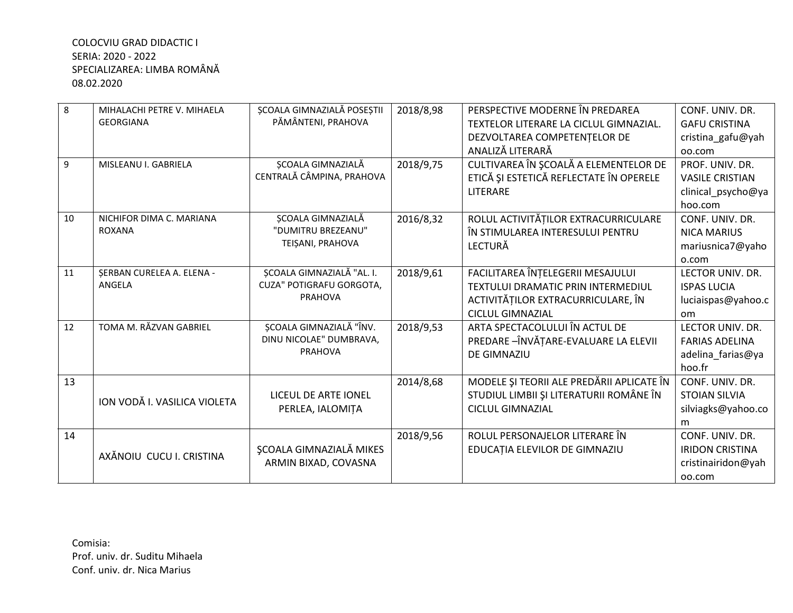| 8  | MIHALACHI PETRE V. MIHAELA<br><b>GEORGIANA</b> | <b>SCOALA GIMNAZIALĂ POSEȘTII</b><br>PĂMÂNTENI, PRAHOVA                 | 2018/8,98 | PERSPECTIVE MODERNE ÎN PREDAREA<br>TEXTELOR LITERARE LA CICLUL GIMNAZIAL.<br>DEZVOLTAREA COMPETENTELOR DE<br>ANALIZĂ LITERARĂ            | CONF. UNIV. DR.<br><b>GAFU CRISTINA</b><br>cristina_gafu@yah<br>oo.com     |
|----|------------------------------------------------|-------------------------------------------------------------------------|-----------|------------------------------------------------------------------------------------------------------------------------------------------|----------------------------------------------------------------------------|
| 9  | MISLEANU I. GABRIELA                           | ȘCOALA GIMNAZIALĂ<br>CENTRALĂ CÂMPINA, PRAHOVA                          | 2018/9,75 | CULTIVAREA ÎN ȘCOALĂ A ELEMENTELOR DE<br>ETICĂ ȘI ESTETICĂ REFLECTATE ÎN OPERELE<br><b>LITERARE</b>                                      | PROF. UNIV. DR.<br><b>VASILE CRISTIAN</b><br>clinical_psycho@ya<br>hoo.com |
| 10 | NICHIFOR DIMA C. MARIANA<br><b>ROXANA</b>      | <b>SCOALA GIMNAZIALĂ</b><br>"DUMITRU BREZEANU"<br>TEIȘANI, PRAHOVA      | 2016/8,32 | ROLUL ACTIVITĂȚILOR EXTRACURRICULARE<br>ÎN STIMULAREA INTERESULUI PENTRU<br><b>LECTURĂ</b>                                               | CONF. UNIV. DR.<br><b>NICA MARIUS</b><br>mariusnica7@yaho<br>o.com         |
| 11 | <b>ŞERBAN CURELEA A. ELENA -</b><br>ANGELA     | ȘCOALA GIMNAZIALĂ "AL. I.<br>CUZA" POTIGRAFU GORGOTA,<br><b>PRAHOVA</b> | 2018/9,61 | FACILITAREA ÎNȚELEGERII MESAJULUI<br>TEXTULUI DRAMATIC PRIN INTERMEDIUL<br>ACTIVITĂȚILOR EXTRACURRICULARE, ÎN<br><b>CICLUL GIMNAZIAL</b> | LECTOR UNIV. DR.<br><b>ISPAS LUCIA</b><br>luciaispas@yahoo.c<br>om         |
| 12 | TOMA M. RĂZVAN GABRIEL                         | ȘCOALA GIMNAZIALĂ "ÎNV.<br>DINU NICOLAE" DUMBRAVA,<br><b>PRAHOVA</b>    | 2018/9,53 | ARTA SPECTACOLULUI ÎN ACTUL DE<br>PREDARE - ÎNVĂȚARE-EVALUARE LA ELEVII<br>DE GIMNAZIU                                                   | LECTOR UNIV. DR.<br><b>FARIAS ADELINA</b><br>adelina_farias@ya<br>hoo.fr   |
| 13 | ION VODĂ I. VASILICA VIOLETA                   | LICEUL DE ARTE IONEL<br>PERLEA, IALOMIȚA                                | 2014/8,68 | MODELE ȘI TEORII ALE PREDĂRII APLICATE ÎN<br>STUDIUL LIMBII ȘI LITERATURII ROMÂNE ÎN<br><b>CICLUL GIMNAZIAL</b>                          | CONF. UNIV. DR.<br><b>STOIAN SILVIA</b><br>silviagks@yahoo.co<br>m         |
| 14 | AXĂNOIU CUCU I. CRISTINA                       | <b>ŞCOALA GIMNAZIALĂ MIKES</b><br>ARMIN BIXAD, COVASNA                  | 2018/9,56 | ROLUL PERSONAJELOR LITERARE ÎN<br>EDUCAȚIA ELEVILOR DE GIMNAZIU                                                                          | CONF. UNIV. DR.<br><b>IRIDON CRISTINA</b><br>cristinairidon@yah<br>00.com  |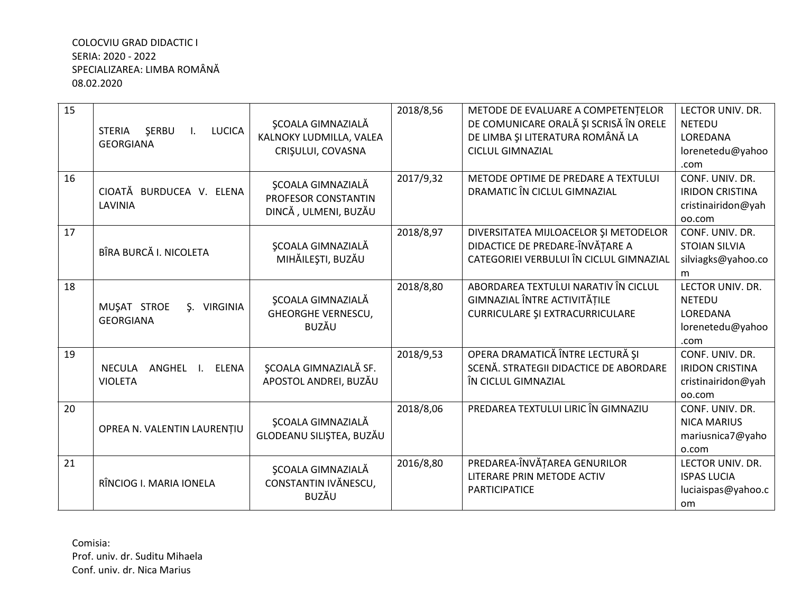| 15 | I. LUCICA<br>SERBU<br>STERIA                                 | <b>SCOALA GIMNAZIALĂ</b>                                                | 2018/8,56 | METODE DE EVALUARE A COMPETENȚELOR<br>DE COMUNICARE ORALĂ ȘI SCRISĂ ÎN ORELE                                        | LECTOR UNIV. DR.<br><b>NETEDU</b>                                             |
|----|--------------------------------------------------------------|-------------------------------------------------------------------------|-----------|---------------------------------------------------------------------------------------------------------------------|-------------------------------------------------------------------------------|
|    | <b>GEORGIANA</b>                                             | KALNOKY LUDMILLA, VALEA<br>CRIȘULUI, COVASNA                            |           | DE LIMBA ȘI LITERATURA ROMÂNĂ LA<br><b>CICLUL GIMNAZIAL</b>                                                         | LOREDANA<br>lorenetedu@yahoo<br>.com                                          |
| 16 | CIOATĂ BURDUCEA V. ELENA<br>LAVINIA                          | <b>SCOALA GIMNAZIALĂ</b><br>PROFESOR CONSTANTIN<br>DINCĂ, ULMENI, BUZĂU | 2017/9,32 | METODE OPTIME DE PREDARE A TEXTULUI<br>DRAMATIC ÎN CICLUL GIMNAZIAL                                                 | CONF. UNIV. DR.<br><b>IRIDON CRISTINA</b><br>cristinairidon@yah<br>oo.com     |
| 17 | BÎRA BURCĂ I. NICOLETA                                       | <b>SCOALA GIMNAZIALĂ</b><br>MIHĂILEȘTI, BUZĂU                           | 2018/8,97 | DIVERSITATEA MIJLOACELOR ȘI METODELOR<br>DIDACTICE DE PREDARE-ÎNVĂȚARE A<br>CATEGORIEI VERBULUI ÎN CICLUL GIMNAZIAL | CONF. UNIV. DR.<br><b>STOIAN SILVIA</b><br>silviagks@yahoo.co<br>m            |
| 18 | MUŞAT STROE<br><b>\$. VIRGINIA</b><br><b>GEORGIANA</b>       | <b>ŞCOALA GIMNAZIALĂ</b><br><b>GHEORGHE VERNESCU,</b><br><b>BUZĂU</b>   | 2018/8,80 | ABORDAREA TEXTULUI NARATIV ÎN CICLUL<br>GIMNAZIAL ÎNTRE ACTIVITĂȚILE<br><b>CURRICULARE ȘI EXTRACURRICULARE</b>      | LECTOR UNIV. DR.<br><b>NETEDU</b><br>LOREDANA<br>lorenetedu@yahoo<br>.com     |
| 19 | <b>NECULA</b><br>ANGHEL I.<br><b>ELENA</b><br><b>VIOLETA</b> | <b>SCOALA GIMNAZIALĂ SF.</b><br>APOSTOL ANDREI, BUZĂU                   | 2018/9,53 | OPERA DRAMATICĂ ÎNTRE LECTURĂ ȘI<br>SCENĂ. STRATEGII DIDACTICE DE ABORDARE<br>ÎN CICLUL GIMNAZIAL                   | CONF. UNIV. DR.<br><b>IRIDON CRISTINA</b><br>cristinairidon@yah<br>oo.com     |
| 20 | OPREA N. VALENTIN LAURENȚIU                                  | <b>SCOALA GIMNAZIALĂ</b><br>GLODEANU SILIȘTEA, BUZĂU                    | 2018/8,06 | PREDAREA TEXTULUI LIRIC ÎN GIMNAZIU                                                                                 | CONF. UNIV. DR.<br><b>NICA MARIUS</b><br>mariusnica7@yaho<br>o.com            |
| 21 | RÎNCIOG I. MARIA IONELA                                      | ŞCOALA GIMNAZIALĂ<br>CONSTANTIN IVĂNESCU,<br>BUZĂU                      | 2016/8,80 | PREDAREA-ÎNVĂȚAREA GENURILOR<br>LITERARE PRIN METODE ACTIV<br><b>PARTICIPATICE</b>                                  | LECTOR UNIV. DR.<br><b>ISPAS LUCIA</b><br>luciaispas@yahoo.c<br><sub>om</sub> |